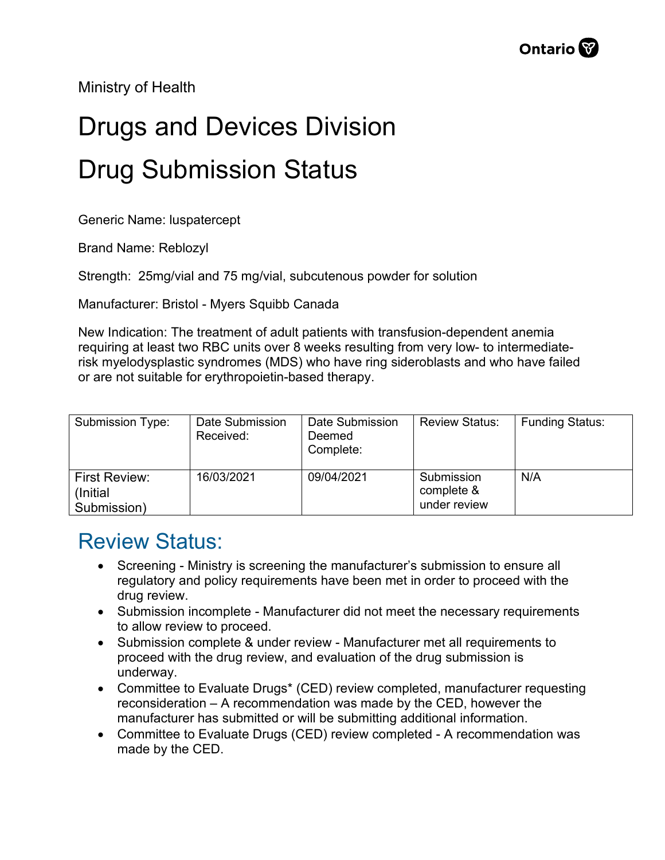Ministry of Health

## Drugs and Devices Division Drug Submission Status

Generic Name: luspatercept

Brand Name: Reblozyl

Strength: 25mg/vial and 75 mg/vial, subcutenous powder for solution

Manufacturer: Bristol - Myers Squibb Canada

New Indication: The treatment of adult patients with transfusion-dependent anemia requiring at least two RBC units over 8 weeks resulting from very low- to intermediaterisk myelodysplastic syndromes (MDS) who have ring sideroblasts and who have failed or are not suitable for erythropoietin-based therapy.

| Submission Type:                          | Date Submission<br>Received: | Date Submission<br>Deemed<br>Complete: | <b>Review Status:</b>                    | <b>Funding Status:</b> |
|-------------------------------------------|------------------------------|----------------------------------------|------------------------------------------|------------------------|
| First Review:<br>(Initial)<br>Submission) | 16/03/2021                   | 09/04/2021                             | Submission<br>complete &<br>under review | N/A                    |

## Review Status:

- Screening Ministry is screening the manufacturer's submission to ensure all regulatory and policy requirements have been met in order to proceed with the drug review.
- Submission incomplete Manufacturer did not meet the necessary requirements to allow review to proceed.
- Submission complete & under review Manufacturer met all requirements to proceed with the drug review, and evaluation of the drug submission is underway.
- Committee to Evaluate Drugs\* (CED) review completed, manufacturer requesting reconsideration – A recommendation was made by the CED, however the manufacturer has submitted or will be submitting additional information.
- Committee to Evaluate Drugs (CED) review completed A recommendation was made by the CED.